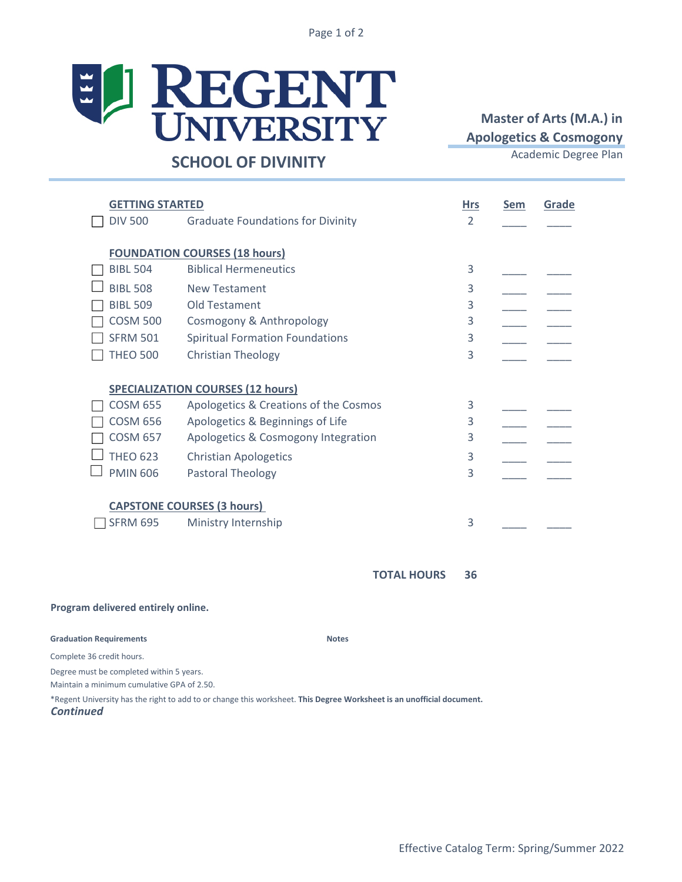Page 1 of 2



## **Master of Arts (M.A.) in Apologetics & Cosmogony**

## **Hrs Sem Grade** DIV 500 Graduate Foundations for Divinity 2 **FOUNDATION COURSES (18 hours)** BIBL 504 Biblical Hermeneutics 3  $\Box$  BIBL 508 New Testament 3 □ BIBL 509 Old Testament 3 COSM 500 Cosmogony & Anthropology 3 \_\_\_\_ \_\_\_\_  $\Box$  SFRM 501 Spiritual Formation Foundations 3 THEO 500 Christian Theology 3 **SPECIALIZATION COURSES (12 hours)**  $\Box$  COSM 655 Apologetics & Creations of the Cosmos  $\Box$  3 COSM 656 Apologetics & Beginnings of Life 3 COSM 657 Apologetics & Cosmogony Integration 3 \_\_\_\_ \_\_\_\_  $\Box$  THEO 623 Christian Apologetics 3  $\Box$  PMIN 606 Pastoral Theology 3  $\Box$  SFRM 695 Ministry Internship 3 **CAPSTONE COURSES (3 hours) GETTING STARTED**

**Notes**

**36 TOTAL HOURS**

## **Program delivered entirely online.**

## **Graduation Requirements**

Complete 36 credit hours.

Degree must be completed within 5 years.

Maintain a minimum cumulative GPA of 2.50.

*Continued*  \*Regent University has the right to add to or change this worksheet. **This Degree Worksheet is an unofficial document.**